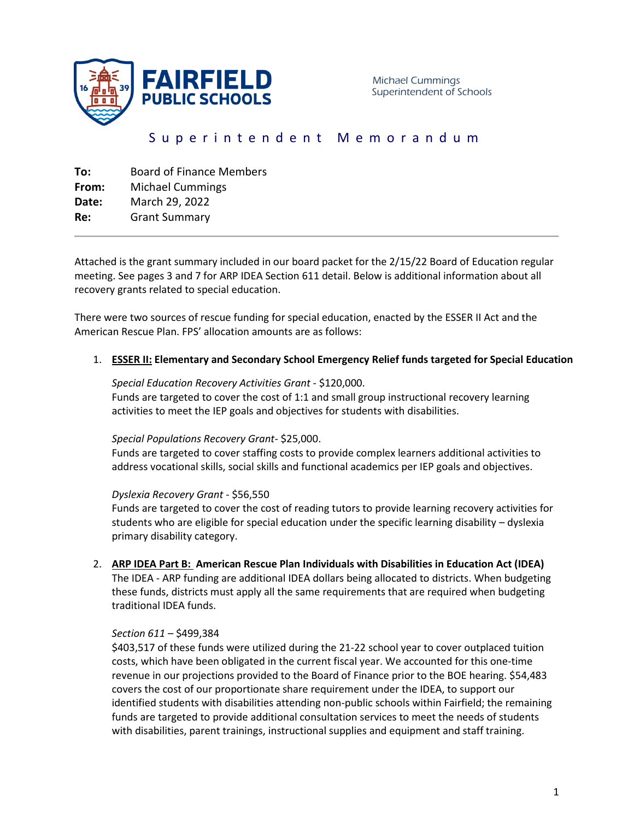

# Superintendent Memorandum

| To:   | <b>Board of Finance Members</b> |
|-------|---------------------------------|
| From: | <b>Michael Cummings</b>         |
| Date: | March 29, 2022                  |
| Re:   | <b>Grant Summary</b>            |
|       |                                 |

Attached is the grant summary included in our board packet for the 2/15/22 Board of Education regular meeting. See pages 3 and 7 for ARP IDEA Section 611 detail. Below is additional information about all recovery grants related to special education.

There were two sources of rescue funding for special education, enacted by the ESSER II Act and the American Rescue Plan. FPS' allocation amounts are as follows:

## 1. **ESSER II: Elementary and Secondary School Emergency Relief funds targeted for Special Education**

#### *Special Education Recovery Activities Grant* - \$120,000.

Funds are targeted to cover the cost of 1:1 and small group instructional recovery learning activities to meet the IEP goals and objectives for students with disabilities.

#### *Special Populations Recovery Grant-* \$25,000.

Funds are targeted to cover staffing costs to provide complex learners additional activities to address vocational skills, social skills and functional academics per IEP goals and objectives.

#### *Dyslexia Recovery Grant* - \$56,550

Funds are targeted to cover the cost of reading tutors to provide learning recovery activities for students who are eligible for special education under the specific learning disability – dyslexia primary disability category.

# 2. **ARP IDEA Part B: American Rescue Plan Individuals with Disabilities in Education Act (IDEA)**

The IDEA - ARP funding are additional IDEA dollars being allocated to districts. When budgeting these funds, districts must apply all the same requirements that are required when budgeting traditional IDEA funds.

## *Section 611* – \$499,384

\$403,517 of these funds were utilized during the 21-22 school year to cover outplaced tuition costs, which have been obligated in the current fiscal year. We accounted for this one-time revenue in our projections provided to the Board of Finance prior to the BOE hearing. \$54,483 covers the cost of our proportionate share requirement under the IDEA, to support our identified students with disabilities attending non-public schools within Fairfield; the remaining funds are targeted to provide additional consultation services to meet the needs of students with disabilities, parent trainings, instructional supplies and equipment and staff training.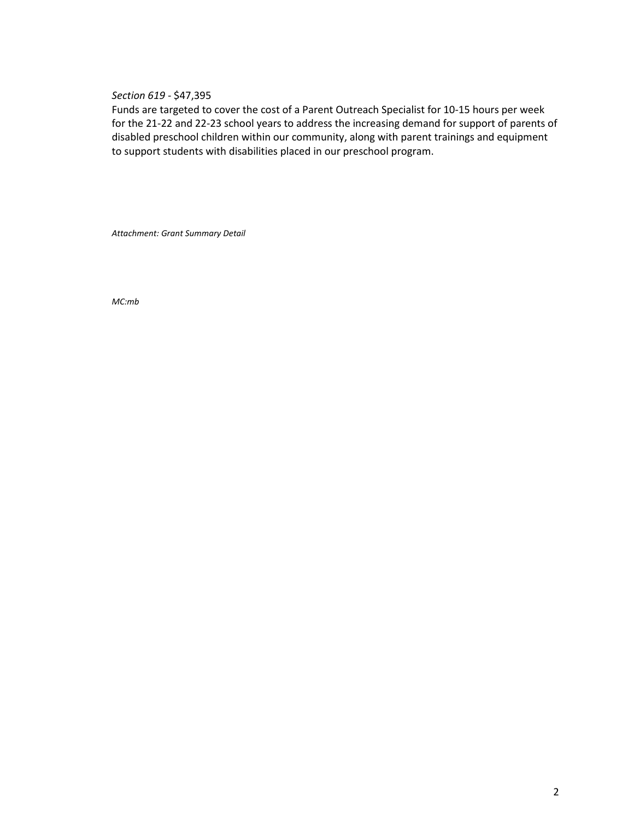*Section 619* - \$47,395

Funds are targeted to cover the cost of a Parent Outreach Specialist for 10-15 hours per week for the 21-22 and 22-23 school years to address the increasing demand for support of parents of disabled preschool children within our community, along with parent trainings and equipment to support students with disabilities placed in our preschool program.

*Attachment: Grant Summary Detail*

*MC:mb*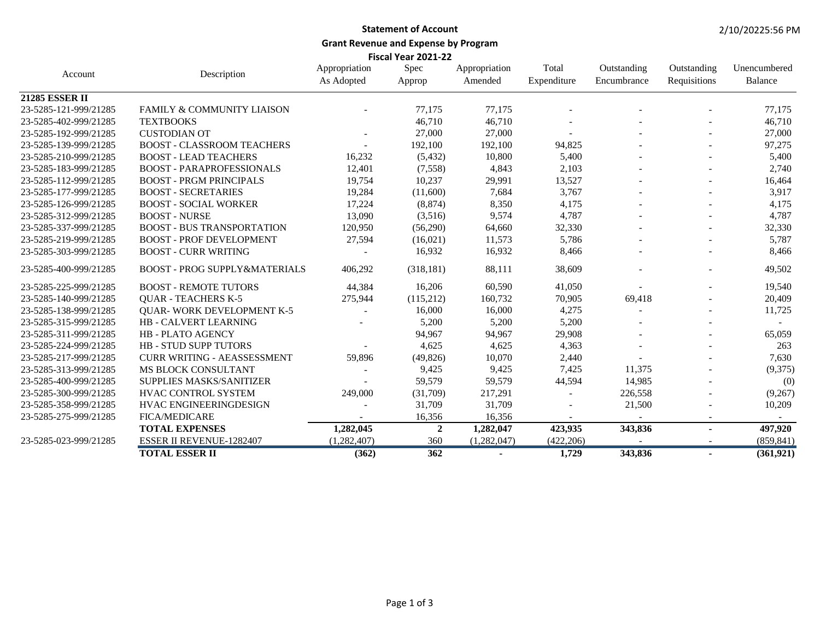# **Statement of Account Grant Revenue and Expense by Program**

**Fiscal Year 2021-22**

| Account               | Description                              | Appropriation<br>As Adopted | Spec<br>Approp  | Appropriation<br>Amended | Total<br>Expenditure | Outstanding<br>Encumbrance | Outstanding<br>Requisitions | Unencumbered<br>Balance |
|-----------------------|------------------------------------------|-----------------------------|-----------------|--------------------------|----------------------|----------------------------|-----------------------------|-------------------------|
| 21285 ESSER II        |                                          |                             |                 |                          |                      |                            |                             |                         |
| 23-5285-121-999/21285 | FAMILY & COMMUNITY LIAISON               |                             | 77,175          | 77,175                   |                      |                            |                             | 77,175                  |
| 23-5285-402-999/21285 | <b>TEXTBOOKS</b>                         |                             | 46,710          | 46,710                   |                      |                            |                             | 46,710                  |
| 23-5285-192-999/21285 | <b>CUSTODIAN OT</b>                      |                             | 27,000          | 27,000                   |                      |                            |                             | 27,000                  |
| 23-5285-139-999/21285 | <b>BOOST - CLASSROOM TEACHERS</b>        |                             | 192,100         | 192,100                  | 94,825               |                            |                             | 97,275                  |
| 23-5285-210-999/21285 | <b>BOOST - LEAD TEACHERS</b>             | 16,232                      | (5, 432)        | 10,800                   | 5,400                |                            |                             | 5,400                   |
| 23-5285-183-999/21285 | <b>BOOST - PARAPROFESSIONALS</b>         | 12,401                      | (7,558)         | 4,843                    | 2,103                |                            |                             | 2,740                   |
| 23-5285-112-999/21285 | <b>BOOST - PRGM PRINCIPALS</b>           | 19,754                      | 10,237          | 29,991                   | 13,527               |                            |                             | 16,464                  |
| 23-5285-177-999/21285 | <b>BOOST - SECRETARIES</b>               | 19,284                      | (11,600)        | 7,684                    | 3,767                |                            |                             | 3,917                   |
| 23-5285-126-999/21285 | <b>BOOST - SOCIAL WORKER</b>             | 17,224                      | (8, 874)        | 8,350                    | 4,175                |                            |                             | 4,175                   |
| 23-5285-312-999/21285 | <b>BOOST - NURSE</b>                     | 13,090                      | (3,516)         | 9,574                    | 4,787                |                            |                             | 4,787                   |
| 23-5285-337-999/21285 | <b>BOOST - BUS TRANSPORTATION</b>        | 120,950                     | (56,290)        | 64,660                   | 32,330               |                            |                             | 32,330                  |
| 23-5285-219-999/21285 | <b>BOOST - PROF DEVELOPMENT</b>          | 27,594                      | (16,021)        | 11,573                   | 5,786                |                            |                             | 5,787                   |
| 23-5285-303-999/21285 | <b>BOOST - CURR WRITING</b>              |                             | 16,932          | 16,932                   | 8,466                |                            | $\overline{\phantom{a}}$    | 8,466                   |
| 23-5285-400-999/21285 | <b>BOOST - PROG SUPPLY&amp;MATERIALS</b> | 406,292                     | (318, 181)      | 88,111                   | 38,609               |                            |                             | 49,502                  |
| 23-5285-225-999/21285 | <b>BOOST - REMOTE TUTORS</b>             | 44,384                      | 16,206          | 60,590                   | 41,050               |                            |                             | 19,540                  |
| 23-5285-140-999/21285 | <b>QUAR - TEACHERS K-5</b>               | 275,944                     | (115,212)       | 160,732                  | 70,905               | 69,418                     |                             | 20,409                  |
| 23-5285-138-999/21285 | <b>QUAR- WORK DEVELOPMENT K-5</b>        |                             | 16,000          | 16,000                   | 4,275                |                            |                             | 11,725                  |
| 23-5285-315-999/21285 | HB - CALVERT LEARNING                    |                             | 5,200           | 5,200                    | 5,200                |                            |                             |                         |
| 23-5285-311-999/21285 | <b>HB-PLATO AGENCY</b>                   |                             | 94,967          | 94,967                   | 29,908               |                            |                             | 65,059                  |
| 23-5285-224-999/21285 | <b>HB - STUD SUPP TUTORS</b>             |                             | 4,625           | 4,625                    | 4,363                |                            |                             | 263                     |
| 23-5285-217-999/21285 | <b>CURR WRITING - AEASSESSMENT</b>       | 59,896                      | (49, 826)       | 10,070                   | 2,440                |                            |                             | 7,630                   |
| 23-5285-313-999/21285 | MS BLOCK CONSULTANT                      |                             | 9,425           | 9,425                    | 7,425                | 11,375                     |                             | (9,375)                 |
| 23-5285-400-999/21285 | SUPPLIES MASKS/SANITIZER                 |                             | 59,579          | 59,579                   | 44,594               | 14,985                     |                             | (0)                     |
| 23-5285-300-999/21285 | HVAC CONTROL SYSTEM                      | 249,000                     | (31,709)        | 217,291                  |                      | 226,558                    |                             | (9,267)                 |
| 23-5285-358-999/21285 | HVAC ENGINEERINGDESIGN                   |                             | 31,709          | 31,709                   |                      | 21,500                     |                             | 10,209                  |
| 23-5285-275-999/21285 | <b>FICA/MEDICARE</b>                     |                             | 16,356          | 16,356                   |                      |                            |                             |                         |
|                       | <b>TOTAL EXPENSES</b>                    | 1,282,045                   | $\overline{2}$  | 1,282,047                | 423,935              | 343,836                    |                             | 497,920                 |
| 23-5285-023-999/21285 | <b>ESSER II REVENUE-1282407</b>          | (1,282,407)                 | 360             | (1,282,047)              | (422, 206)           |                            |                             | (859, 841)              |
|                       | <b>TOTAL ESSER II</b>                    | (362)                       | $\frac{1}{362}$ | $\blacksquare$           | 1,729                | 343,836                    | $\blacksquare$              | (361,921)               |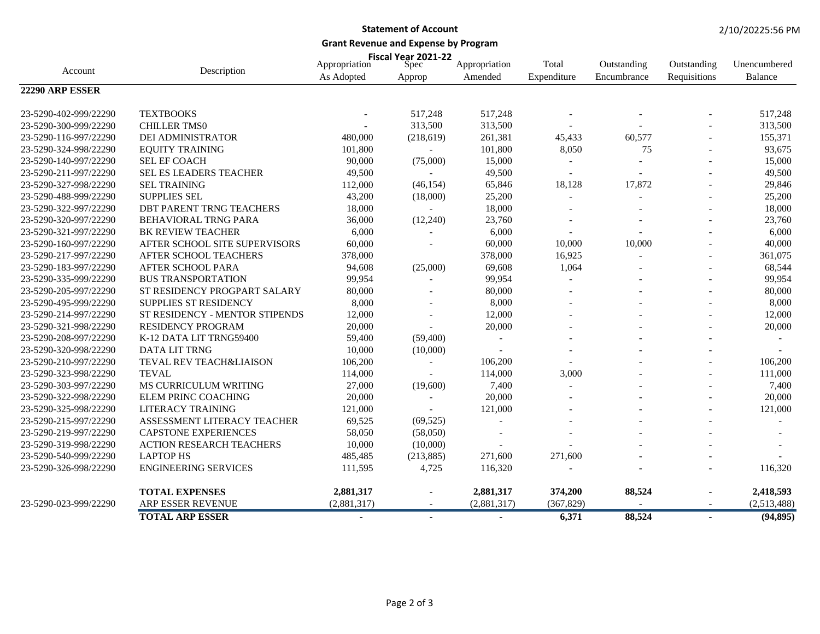### **Statement of Account**

**Grant Revenue and Expense by Program**

|                       |                                 |                             | Fiscal Year 2021-22   |                          | Total       |                            |                             | Unencumbered   |
|-----------------------|---------------------------------|-----------------------------|-----------------------|--------------------------|-------------|----------------------------|-----------------------------|----------------|
| Account               | Description                     | Appropriation<br>As Adopted | <b>Spec</b><br>Approp | Appropriation<br>Amended | Expenditure | Outstanding<br>Encumbrance | Outstanding<br>Requisitions | <b>Balance</b> |
| 22290 ARP ESSER       |                                 |                             |                       |                          |             |                            |                             |                |
| 23-5290-402-999/22290 | <b>TEXTBOOKS</b>                |                             | 517,248               | 517,248                  |             |                            |                             | 517,248        |
| 23-5290-300-999/22290 | <b>CHILLER TMS0</b>             |                             | 313,500               | 313,500                  |             |                            |                             | 313,500        |
| 23-5290-116-997/22290 | DEI ADMINISTRATOR               | 480,000                     | (218, 619)            | 261,381                  | 45,433      | 60,577                     |                             | 155,371        |
| 23-5290-324-998/22290 | <b>EQUITY TRAINING</b>          | 101,800                     |                       | 101,800                  | 8,050       | 75                         |                             | 93,675         |
| 23-5290-140-997/22290 | <b>SEL EF COACH</b>             | 90,000                      | (75,000)              | 15,000                   |             |                            |                             | 15,000         |
| 23-5290-211-997/22290 | SEL ES LEADERS TEACHER          | 49,500                      |                       | 49,500                   |             |                            |                             | 49,500         |
| 23-5290-327-998/22290 | <b>SEL TRAINING</b>             | 112,000                     | (46, 154)             | 65,846                   | 18,128      | 17,872                     | $\overline{a}$              | 29,846         |
| 23-5290-488-999/22290 | <b>SUPPLIES SEL</b>             | 43,200                      | (18,000)              | 25,200                   |             |                            |                             | 25,200         |
| 23-5290-322-997/22290 | DBT PARENT TRNG TEACHERS        | 18,000                      |                       | 18,000                   |             |                            |                             | 18,000         |
| 23-5290-320-997/22290 | <b>BEHAVIORAL TRNG PARA</b>     | 36,000                      | (12,240)              | 23,760                   |             |                            |                             | 23,760         |
| 23-5290-321-997/22290 | <b>BK REVIEW TEACHER</b>        | 6,000                       |                       | 6,000                    |             |                            |                             | 6,000          |
| 23-5290-160-997/22290 | AFTER SCHOOL SITE SUPERVISORS   | 60,000                      |                       | 60,000                   | 10,000      | 10,000                     |                             | 40,000         |
| 23-5290-217-997/22290 | AFTER SCHOOL TEACHERS           | 378,000                     |                       | 378,000                  | 16,925      | $\overline{a}$             |                             | 361,075        |
| 23-5290-183-997/22290 | AFTER SCHOOL PARA               | 94,608                      | (25,000)              | 69,608                   | 1,064       |                            | $\overline{\phantom{a}}$    | 68,544         |
| 23-5290-335-999/22290 | <b>BUS TRANSPORTATION</b>       | 99,954                      | $\overline{a}$        | 99,954                   |             |                            |                             | 99,954         |
| 23-5290-205-997/22290 | ST RESIDENCY PROGPART SALARY    | 80,000                      |                       | 80,000                   |             |                            |                             | 80,000         |
| 23-5290-495-999/22290 | SUPPLIES ST RESIDENCY           | 8,000                       |                       | 8,000                    |             |                            |                             | 8,000          |
| 23-5290-214-997/22290 | ST RESIDENCY - MENTOR STIPENDS  | 12,000                      |                       | 12,000                   |             |                            |                             | 12,000         |
| 23-5290-321-998/22290 | <b>RESIDENCY PROGRAM</b>        | 20,000                      |                       | 20,000                   |             |                            |                             | 20,000         |
| 23-5290-208-997/22290 | K-12 DATA LIT TRNG59400         | 59,400                      | (59, 400)             |                          |             |                            |                             |                |
| 23-5290-320-998/22290 | <b>DATA LIT TRNG</b>            | 10,000                      | (10,000)              | $\sim$                   |             |                            |                             |                |
| 23-5290-210-997/22290 | TEVAL REV TEACH&LIAISON         | 106,200                     |                       | 106,200                  |             |                            |                             | 106,200        |
| 23-5290-323-998/22290 | <b>TEVAL</b>                    | 114,000                     |                       | 114,000                  | 3,000       |                            |                             | 111,000        |
| 23-5290-303-997/22290 | MS CURRICULUM WRITING           | 27,000                      | (19,600)              | 7,400                    |             |                            |                             | 7,400          |
| 23-5290-322-998/22290 | <b>ELEM PRINC COACHING</b>      | 20,000                      |                       | 20,000                   |             |                            |                             | 20,000         |
| 23-5290-325-998/22290 | <b>LITERACY TRAINING</b>        | 121,000                     |                       | 121,000                  |             |                            | $\overline{a}$              | 121,000        |
| 23-5290-215-997/22290 | ASSESSMENT LITERACY TEACHER     | 69,525                      | (69, 525)             |                          |             |                            |                             |                |
| 23-5290-219-997/22290 | <b>CAPSTONE EXPERIENCES</b>     | 58,050                      | (58,050)              |                          |             |                            |                             |                |
| 23-5290-319-998/22290 | <b>ACTION RESEARCH TEACHERS</b> | 10,000                      | (10,000)              |                          |             |                            |                             |                |
| 23-5290-540-999/22290 | <b>LAPTOP HS</b>                | 485,485                     | (213, 885)            | 271,600                  | 271,600     |                            |                             |                |
| 23-5290-326-998/22290 | <b>ENGINEERING SERVICES</b>     | 111,595                     | 4,725                 | 116,320                  |             |                            |                             | 116,320        |
|                       | <b>TOTAL EXPENSES</b>           | 2,881,317                   |                       | 2,881,317                | 374,200     | 88,524                     |                             | 2,418,593      |
| 23-5290-023-999/22290 | ARP ESSER REVENUE               | (2,881,317)                 |                       | (2,881,317)              | (367, 829)  |                            |                             | (2,513,488)    |
|                       | <b>TOTAL ARP ESSER</b>          | $\blacksquare$              | $\sim$                | $\blacksquare$           | 6,371       | 88,524                     | $\sim$                      | (94, 895)      |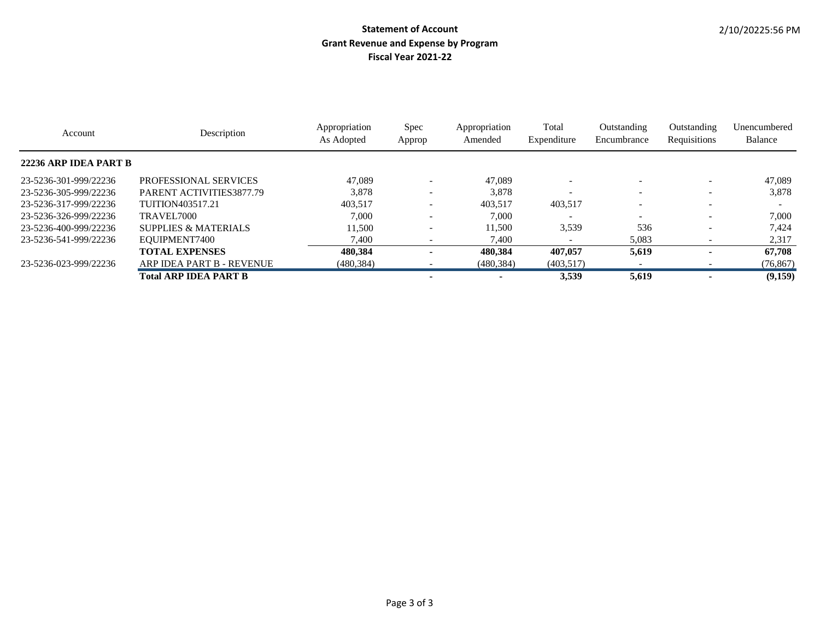| Account               | Description               | Appropriation<br>As Adopted | Spec<br>Approp | Appropriation<br>Amended | Total<br>Expenditure | Outstanding<br>Encumbrance | Outstanding<br>Requisitions | Unencumbered<br>Balance |
|-----------------------|---------------------------|-----------------------------|----------------|--------------------------|----------------------|----------------------------|-----------------------------|-------------------------|
| 22236 ARP IDEA PART B |                           |                             |                |                          |                      |                            |                             |                         |
| 23-5236-301-999/22236 | PROFESSIONAL SERVICES     | 47,089                      |                | 47,089                   |                      |                            | $\overline{\phantom{a}}$    | 47,089                  |
| 23-5236-305-999/22236 | PARENT ACTIVITIES3877.79  | 3,878                       |                | 3,878                    |                      |                            |                             | 3,878                   |
| 23-5236-317-999/22236 | <b>TUITION403517.21</b>   | 403.517                     |                | 403.517                  | 403,517              |                            |                             |                         |
| 23-5236-326-999/22236 | TRAVEL <sub>7000</sub>    | 7.000                       |                | 7.000                    |                      |                            |                             | 7.000                   |
| 23-5236-400-999/22236 | SUPPLIES & MATERIALS      | 11.500                      |                | 11.500                   | 3,539                | 536                        | $\overline{\phantom{a}}$    | 7.424                   |
| 23-5236-541-999/22236 | EQUIPMENT7400             | 7.400                       |                | 7.400                    |                      | 5,083                      |                             | 2,317                   |
|                       | <b>TOTAL EXPENSES</b>     | 480.384                     |                | 480.384                  | 407,057              | 5,619                      |                             | 67,708                  |
| 23-5236-023-999/22236 | ARP IDEA PART B - REVENUE | (480, 384)                  |                | (480, 384)               | (403,517)            |                            |                             | (76, 867)               |
|                       | Total ARP IDEA PART B     |                             |                |                          | 3.539                | 5,619                      |                             | (9,159)                 |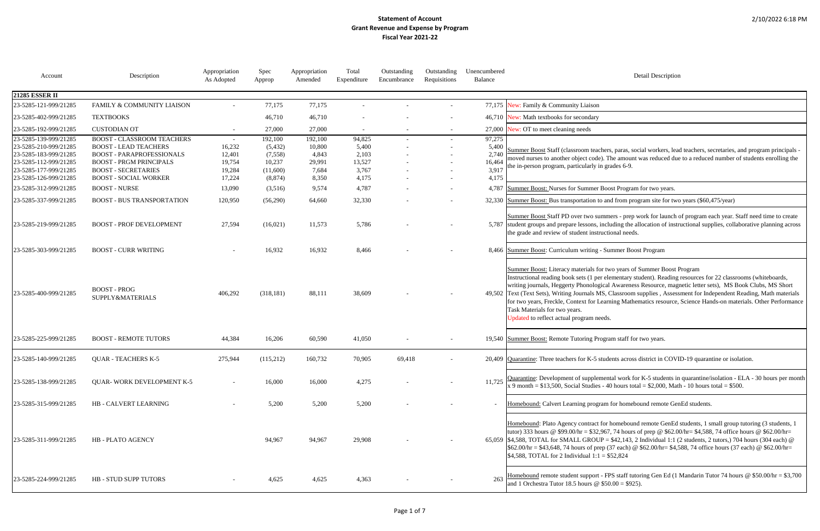#### Detail Description

ners, paras, social workers, lead teachers, secretaries, and program principals l. The amount was reduced due to a reduced number of students enrolling the grades 6-9.

Boost Program for two years.

and from program site for two years (\$60,475/year)

nmers - prep work for launch of program each year. Staff need time to create ncluding the allocation of instructional supplies, collaborative planning across uctional needs.

r two years of Summer Boost Program elementary student). Reading resources for 22 classrooms (whiteboards, ical Awareness Resource, magnetic letter sets), MS Book Clubs, MS Short IS, Classroom supplies , Assessment for Independent Reading, Math materials earning Mathematics resource, Science Hands-on materials. Other Performance

tudents across district in COVID-19 quarantine or isolation.

nental work for K-5 students in quarantine/isolation - ELA - 30 hours per month  $-40$  hours total = \$2,000, Math - 10 hours total = \$500.

am for homebound remote GenEd students.

for homebound remote GenEd students, 1 small group tutoring (3 students, 1 967, 74 hours of prep @  $$62.00/hr = $4,588, 74$  office hours @  $$62.00/hr =$  $P = $42,143, 2$  Individual 1:1 (2 students, 2 tutors,) 704 hours (304 each) @  $\text{ep (37 each)} \otimes $62.00/\text{hr} = $4,588, 74 \text{ office hours (37 each)} \otimes $62.00/\text{hr} = $4,588, 74 \text{ office hours (37 each)} \otimes $62.00/\text{hr} = $4,588, 74 \text{ office hours (37 each)} \otimes $62.00/\text{hr} = $4,588, 74 \text{ office hours (37 each)} \otimes $62.00/\text{hr} = $4,588, 74 \text{ office hours (37 each)} \otimes $62.00/\text{hr} = $4,588, 74 \text{ office hours (37 each)} \$  $= $52,824$ 

 $25855 - 4995$  Staff tutoring Gen Ed (1 Mandarin Tutor 74 hours @ \$50.00/hr = \$3,700  $$50.00 = $925$ .

| Account                                                                                          | Description                                                                                                                             | Appropriation<br>As Adopted          | Spec<br>Approp                           | Appropriation<br>Amended             | Total<br>Expenditure               | Outstanding<br>Encumbrance | Outstanding<br>Requisitions | Unencumbered<br>Balance            | Detail Desci                                                                                                                                                                                                                                                                                                                                                                                                    |
|--------------------------------------------------------------------------------------------------|-----------------------------------------------------------------------------------------------------------------------------------------|--------------------------------------|------------------------------------------|--------------------------------------|------------------------------------|----------------------------|-----------------------------|------------------------------------|-----------------------------------------------------------------------------------------------------------------------------------------------------------------------------------------------------------------------------------------------------------------------------------------------------------------------------------------------------------------------------------------------------------------|
| <b>21285 ESSER II</b>                                                                            |                                                                                                                                         |                                      |                                          |                                      |                                    |                            |                             |                                    |                                                                                                                                                                                                                                                                                                                                                                                                                 |
| 23-5285-121-999/21285                                                                            | FAMILY & COMMUNITY LIAISON                                                                                                              |                                      | 77,175                                   | 77,175                               |                                    |                            |                             |                                    | 77,175 New: Family & Community Liaison                                                                                                                                                                                                                                                                                                                                                                          |
| 23-5285-402-999/21285                                                                            | <b>TEXTBOOKS</b>                                                                                                                        |                                      | 46,710                                   | 46,710                               |                                    |                            |                             |                                    | 46,710 New: Math textbooks for secondary                                                                                                                                                                                                                                                                                                                                                                        |
| 23-5285-192-999/21285                                                                            | <b>CUSTODIAN OT</b>                                                                                                                     |                                      | 27,000                                   | 27,000                               |                                    |                            |                             |                                    | 27,000 New: OT to meet cleaning needs                                                                                                                                                                                                                                                                                                                                                                           |
| 23-5285-139-999/21285<br>23-5285-210-999/21285<br>23-5285-183-999/21285<br>23-5285-112-999/21285 | <b>BOOST - CLASSROOM TEACHERS</b><br><b>BOOST - LEAD TEACHERS</b><br><b>BOOST - PARAPROFESSIONALS</b><br><b>BOOST - PRGM PRINCIPALS</b> | $\sim$<br>16,232<br>12,401<br>19,754 | 192,100<br>(5, 432)<br>(7,558)<br>10,237 | 192,100<br>10,800<br>4,843<br>29,991 | 94,825<br>5,400<br>2,103<br>13,527 |                            | $\overline{\phantom{a}}$    | 97,275<br>5,400<br>2,740<br>16,464 | Summer Boost Staff (classroom teachers, paras, social worker<br>moved nurses to another object code). The amount was reduce<br>the in-person program, particularly in grades 6-9.                                                                                                                                                                                                                               |
| 23-5285-177-999/21285<br>23-5285-126-999/21285                                                   | <b>BOOST - SECRETARIES</b><br><b>BOOST - SOCIAL WORKER</b>                                                                              | 19,284<br>17,224                     | (11,600)<br>(8, 874)                     | 7,684<br>8,350                       | 3,767<br>4,175                     |                            |                             | 3,917<br>4,175                     |                                                                                                                                                                                                                                                                                                                                                                                                                 |
| 23-5285-312-999/21285                                                                            | <b>BOOST - NURSE</b>                                                                                                                    | 13,090                               | (3,516)                                  | 9,574                                | 4,787                              |                            | $\overline{\phantom{a}}$    |                                    | 4,787 Summer Boost: Nurses for Summer Boost Program for two ye                                                                                                                                                                                                                                                                                                                                                  |
| 23-5285-337-999/21285                                                                            | <b>BOOST - BUS TRANSPORTATION</b>                                                                                                       | 120,950                              | (56,290)                                 | 64,660                               | 32,330                             |                            |                             |                                    | 32,330 Summer Boost: Bus transportation to and from program site f                                                                                                                                                                                                                                                                                                                                              |
| 23-5285-219-999/21285                                                                            | <b>BOOST - PROF DEVELOPMENT</b>                                                                                                         | 27,594                               | (16,021)                                 | 11,573                               | 5,786                              |                            |                             |                                    | Summer Boost Staff PD over two summers - prep work for la<br>5,787 student groups and prepare lessons, including the allocation of<br>the grade and review of student instructional needs.                                                                                                                                                                                                                      |
| 23-5285-303-999/21285                                                                            | <b>BOOST - CURR WRITING</b>                                                                                                             |                                      | 16,932                                   | 16,932                               | 8,466                              |                            |                             |                                    | 8,466 Summer Boost: Curriculum writing - Summer Boost Program                                                                                                                                                                                                                                                                                                                                                   |
| 23-5285-400-999/21285                                                                            | <b>BOOST-PROG</b><br>SUPPLY&MATERIALS                                                                                                   | 406,292                              | (318, 181)                               | 88,111                               | 38,609                             |                            |                             |                                    | Summer Boost: Literacy materials for two years of Summer B<br>Instructional reading book sets (1 per elementary student). Re<br>writing journals, Heggerty Phonological Awareness Resource<br>49,502 Text (Text Sets), Writing Journals MS, Classroom supplies, A<br>for two years, Freckle, Context for Learning Mathematics reso<br>Task Materials for two years.<br>Updated to reflect actual program needs. |
| 23-5285-225-999/21285                                                                            | <b>BOOST - REMOTE TUTORS</b>                                                                                                            | 44,384                               | 16,206                                   | 60,590                               | 41,050                             |                            |                             |                                    | 19,540 Summer Boost: Remote Tutoring Program staff for two years.                                                                                                                                                                                                                                                                                                                                               |
| 23-5285-140-999/21285                                                                            | <b>QUAR - TEACHERS K-5</b>                                                                                                              | 275,944                              | (115,212)                                | 160,732                              | 70,905                             | 69,418                     |                             |                                    | 20,409 Quarantine: Three teachers for K-5 students across district in                                                                                                                                                                                                                                                                                                                                           |
| 23-5285-138-999/21285                                                                            | <b>QUAR-WORK DEVELOPMENT K-5</b>                                                                                                        |                                      | 16,000                                   | 16,000                               | 4,275                              |                            |                             | 11,725                             | Quarantine: Development of supplemental work for K-5 stude<br>x 9 month = $$13,500$ , Social Studies - 40 hours total = $$2,000$                                                                                                                                                                                                                                                                                |
| 23-5285-315-999/21285                                                                            | HB - CALVERT LEARNING                                                                                                                   |                                      | 5,200                                    | 5,200                                | 5,200                              |                            |                             |                                    | Homebound: Calvert Learning program for homebound remot                                                                                                                                                                                                                                                                                                                                                         |
| 23-5285-311-999/21285                                                                            | HB - PLATO AGENCY                                                                                                                       |                                      | 94,967                                   | 94,967                               | 29,908                             |                            |                             |                                    | Homebound: Plato Agency contract for homebound remote G<br>tutor) 333 hours @ \$99.00/hr = \$32,967, 74 hours of prep @<br>65,059 \$4,588, TOTAL for SMALL GROUP = \$42,143, 2 Individual<br>\$62.00/hr = \$43,648, 74 hours of prep (37 each) @ \$62.00/hr<br>\$4,588, TOTAL for 2 Individual $1:1 = $52,824$                                                                                                  |
| 23-5285-224-999/21285                                                                            | HB - STUD SUPP TUTORS                                                                                                                   |                                      | 4,625                                    | 4,625                                | 4,363                              |                            |                             | 263                                | Homebound remote student support - FPS staff tutoring Gen I<br>and 1 Orchestra Tutor 18.5 hours $\omega$ \$50.00 = \$925).                                                                                                                                                                                                                                                                                      |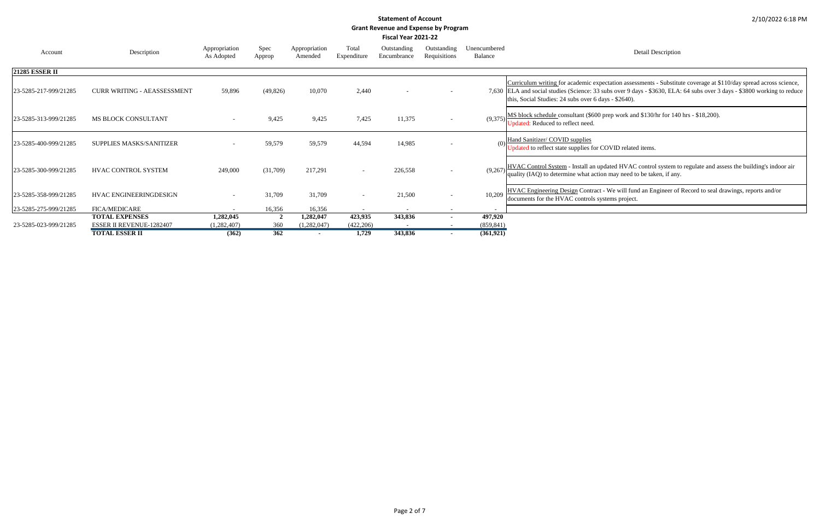Detail Description

ectation assessments - Substitute coverage at \$110/day spread across science, subs over 9 days - \$3630, ELA: 64 subs over 3 days - \$3800 working to reduce ays - \$2640).

prep work and  $$130/hr$  for 140 hrs -  $$18,200$ ).

COVID related items.

odated HVAC control system to regulate and assess the building's indoor air on may need to be taken, if any.

- We will fund an Engineer of Record to seal drawings, reports and/or stems project.

| Account               | Description                        | Appropriation<br>As Adopted | Spec<br>Approp | Appropriation<br>Amended | Total<br>Expenditure     | Outstanding<br>Encumbrance | Outstanding<br>Requisitions | Unencumbered<br><b>Balance</b> |                                                                                                                                      |
|-----------------------|------------------------------------|-----------------------------|----------------|--------------------------|--------------------------|----------------------------|-----------------------------|--------------------------------|--------------------------------------------------------------------------------------------------------------------------------------|
| <b>21285 ESSER II</b> |                                    |                             |                |                          |                          |                            |                             |                                |                                                                                                                                      |
| 23-5285-217-999/21285 | <b>CURR WRITING - AEASSESSMENT</b> | 59,896                      | (49, 826)      | 10,070                   | 2,440                    |                            |                             |                                | Curriculum writing for academic experiency<br>7,630 ELA and social studies (Science: 33 s<br>this, Social Studies: 24 subs over 6 da |
| 23-5285-313-999/21285 | <b>MS BLOCK CONSULTANT</b>         |                             | 9,425          | 9,425                    | 7,425                    | 11,375                     |                             | (9,375)                        | MS block schedule consultant (\$600)<br>Updated: Reduced to reflect need.                                                            |
| 23-5285-400-999/21285 | <b>SUPPLIES MASKS/SANITIZER</b>    |                             | 59,579         | 59,579                   | 44,594                   | 14,985                     |                             | (0)                            | Hand Sanitizer/ COVID supplies<br>Jpdated to reflect state supplies for C                                                            |
| 23-5285-300-999/21285 | <b>HVAC CONTROL SYSTEM</b>         | 249,000                     | (31,709)       | 217,291                  | $\overline{\phantom{a}}$ | 226,558                    |                             | (9,267)                        | HVAC Control System - Install an up<br>quality (IAQ) to determine what actio                                                         |
| 23-5285-358-999/21285 | HVAC ENGINEERINGDESIGN             |                             | 31,709         | 31,709                   | $\overline{\phantom{a}}$ | 21,500                     |                             | 10,209                         | <b>HVAC Engineering Design Contract</b><br>documents for the HVAC controls sys                                                       |
| 23-5285-275-999/21285 | <b>FICA/MEDICARE</b>               |                             | 16,356         | 16,356                   |                          |                            |                             |                                |                                                                                                                                      |
|                       | <b>TOTAL EXPENSES</b>              | 1,282,045                   | $\overline{2}$ | 1,282,047                | 423,935                  | 343,836                    |                             | 497,920                        |                                                                                                                                      |
| 23-5285-023-999/21285 | <b>ESSER II REVENUE-1282407</b>    | (1,282,407)                 | 360            | (1,282,047)              | (422, 206)               |                            |                             | (859, 841)                     |                                                                                                                                      |
|                       | <b>TOTAL ESSER II</b>              | (362)                       | 362            |                          | 1,729                    | 343,836                    |                             | (361, 921)                     |                                                                                                                                      |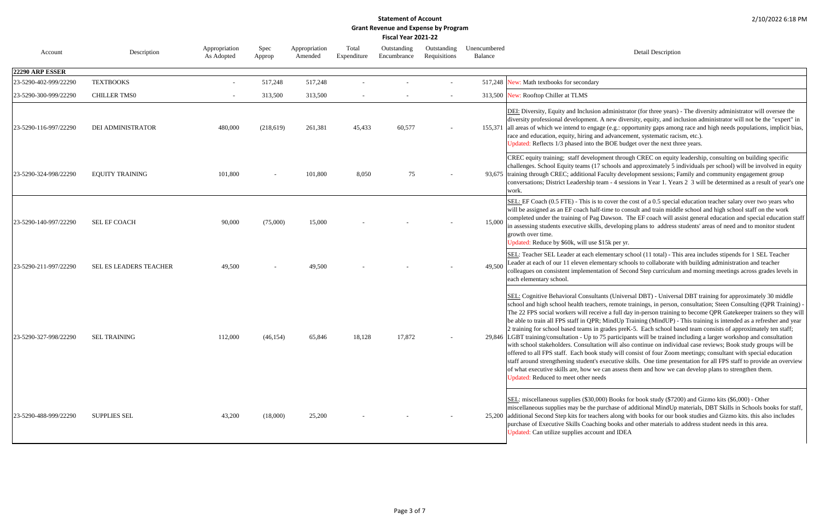Detail Description

administrator (for three years) - The diversity administrator will oversee the A new diversity, equity, and inclusion administrator will not be the "expert" in ge (e.g.: opportunity gaps among race and high needs populations, implicit bias, advancement, systematic racism, etc.). BOE budget over the next three years.

ment through CREC on equity leadership, consulting on building specific schools and approximately 5 individuals per school) will be involved in equity aculty development sessions; Family and community engagement group am - 4 sessions in Year 1. Years 2 3 will be determined as a result of year's one

cover the cost of a 0.5 special education teacher salary over two years who time to consult and train middle school and high school staff on the work Dawson. The EF coach will assist general education and special education staff developing plans to address students' areas of need and to monitor student

 $615k$  per yr.

ementary school (11 total) - This area includes stipends for 1 SEL Teacher leader at each of our 11 electrical our 11 electric intentation and teacher electric with building administration and teacher tion of Second Step curriculum and morning meetings across grades levels in

nts (Universal DBT) - Universal DBT training for approximately 30 middle rs, remote trainings, in person, consultation; Steen Consulting (QPR Training) ve a full day in-person training to become QPR Gatekeeper trainers so they will MindUp Training (MindUP) - This training is intended as a refresher and year grades preK-5. Each school based team consists of approximately ten staff; 75 participants will be trained including a larger workshop and consultation on will also continue on individual case reviews; Book study groups will be study will consist of four Zoom meetings; consultant with special education executive skills. One time presentation for all FPS staff to provide an overview can assess them and how we can develop plans to strengthen them.

00) Books for book study (\$7200) and Gizmo kits (\$6,000) - Other urchase of additional MindUp materials, DBT Skills in Schools books for staff, ers along with books for our book studies and Gizmo kits. this also includes ng books and other materials to address student needs in this area. nt and IDEA

| Account               | Description              | Appropriation<br>As Adopted | Spec<br>Approp | Appropriation<br>Amended | Total<br>Expenditure | Outstanding<br>Encumbrance | Outstanding<br>Requisitions | Unencumbered<br>Balance |                                                                                                                                                                                                                                                                                                                                                                                                                                                                                    |
|-----------------------|--------------------------|-----------------------------|----------------|--------------------------|----------------------|----------------------------|-----------------------------|-------------------------|------------------------------------------------------------------------------------------------------------------------------------------------------------------------------------------------------------------------------------------------------------------------------------------------------------------------------------------------------------------------------------------------------------------------------------------------------------------------------------|
| 22290 ARP ESSER       |                          |                             |                |                          |                      |                            |                             |                         |                                                                                                                                                                                                                                                                                                                                                                                                                                                                                    |
| 23-5290-402-999/22290 | <b>TEXTBOOKS</b>         |                             | 517,248        | 517,248                  |                      |                            |                             | 517,248                 | New: Math textbooks for secondary                                                                                                                                                                                                                                                                                                                                                                                                                                                  |
| 23-5290-300-999/22290 | <b>CHILLER TMS0</b>      |                             | 313,500        | 313,500                  |                      |                            |                             |                         | 313,500 New: Rooftop Chiller at TLMS                                                                                                                                                                                                                                                                                                                                                                                                                                               |
| 23-5290-116-997/22290 | <b>DEI ADMINISTRATOR</b> | 480,000                     | (218,619)      | 261,381                  | 45,433               | 60,577                     |                             | 155,371                 | DEI: Diversity, Equity and Inclusion a<br>diversity professional development. A<br>all areas of which we intend to engage<br>race and education, equity, hiring and<br>Updated: Reflects 1/3 phased into the                                                                                                                                                                                                                                                                       |
| 23-5290-324-998/22290 | <b>EQUITY TRAINING</b>   | 101,800                     |                | 101,800                  | 8,050                | 75                         |                             |                         | CREC equity training; staff developm<br>challenges. School Equity teams (17 so<br>93,675 training through CREC; additional Fac<br>conversations; District Leadership tear<br>work.                                                                                                                                                                                                                                                                                                 |
| 23-5290-140-997/22290 | SEL EF COACH             | 90,000                      | (75,000)       | 15,000                   |                      |                            |                             | 15,000                  | SEL: EF Coach (0.5 FTE) - This is to o<br>will be assigned as an EF coach half-ti<br>completed under the training of Pag Da<br>in assessing students executive skills, or<br>growth over time.<br>Jpdated: Reduce by \$60k, will use \$1.                                                                                                                                                                                                                                          |
| 23-5290-211-997/22290 | SEL ES LEADERS TEACHER   | 49,500                      |                | 49,500                   |                      |                            |                             | 49,500                  | SEL: Teacher SEL Leader at each elen<br>Leader at each of our 11 eleven elemen<br>colleagues on consistent implementation<br>each elementary school.                                                                                                                                                                                                                                                                                                                               |
| 23-5290-327-998/22290 | <b>SEL TRAINING</b>      | 112,000                     | (46, 154)      | 65,846                   | 18,128               | 17,872                     |                             |                         | SEL: Cognitive Behavioral Consultant<br>school and high school health teachers<br>The 22 FPS social workers will receive<br>be able to train all FPS staff in QPR; M<br>2 training for school based teams in gr<br>29,846 LGBT training/consultation - Up to 75<br>with school stakeholders. Consultation<br>offered to all FPS staff. Each book stu<br>staff around strengthening student's ex<br>of what executive skills are, how we ca<br>Updated: Reduced to meet other needs |
| 23-5290-488-999/22290 | <b>SUPPLIES SEL</b>      | 43,200                      | (18,000)       | 25,200                   |                      |                            |                             |                         | SEL: miscellaneous supplies (\$30,000)<br>miscellaneous supplies may be the pur<br>25,200 additional Second Step kits for teacher<br>purchase of Executive Skills Coaching<br>Updated: Can utilize supplies account                                                                                                                                                                                                                                                                |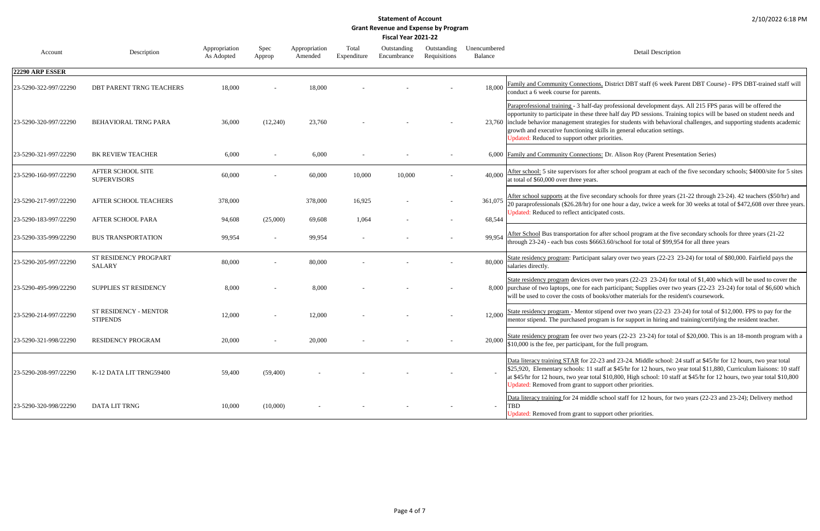Detail Description

2 District DBT staff (6 week Parent DBT Course) - FPS DBT-trained staff will

professional development days. All 215 FPS paras will be offered the ree half day PD sessions. Training topics will be based on student needs and gies for students with behavioral challenges, and supporting students academic ills in general education settings.

priorities.

22 Dr. Alison Roy (Parent Presentation Series)

fter school program at each of the five secondary schools; \$4000/site for 5 sites

ondary schools for three years (21-22 through 23-24). 42 teachers (\$50/hr) and one hour a day, twice a week for 30 weeks at total of \$472,608 over three years. ted costs.

after school program at the five secondary schools for three years (21-22 53.60/school for total of \$99,954 for all three years

salary over two years (22-23 23-24) for total of \$80,000. Fairfield pays the

r two years (22-23 23-24) for total of \$1,400 which will be used to cover the h participant; Supplies over two years (22-23 23-24) for total of \$6,600 which bks/other materials for the resident's coursework.

pend over two years (22-23 23-24) for total of \$12,000. FPS to pay for the ram is for support in hiring and training/certifying the resident teacher.

years (22-23 23-24) for total of \$20,000. This is an 18-month program with a or the full program.

23 and 23-24. Middle school: 24 staff at \$45/hr for 12 hours, two year total aff at \$45/hr for 12 hours, two year total \$11,880, Curriculum liaisons: 10 staff at \$45/hr for 12 hours, two year total \$10,800, High school: 10 staff at \$45/hr for 12 hours, two year total \$10,800 port other priorities.

school staff for 12 hours, for two years (22-23 and 23-24); Delivery method

port other priorities.

| Account               | Description                              | Appropriation<br>As Adopted | Spec<br>Approp | Appropriation<br>Amended | Total<br>Expenditure | Outstanding<br>Encumbrance | Outstanding<br>Requisitions | Unencumbered<br><b>Balance</b> |                                                                                                                                                                                                                |
|-----------------------|------------------------------------------|-----------------------------|----------------|--------------------------|----------------------|----------------------------|-----------------------------|--------------------------------|----------------------------------------------------------------------------------------------------------------------------------------------------------------------------------------------------------------|
| 22290 ARP ESSER       |                                          |                             |                |                          |                      |                            |                             |                                |                                                                                                                                                                                                                |
| 23-5290-322-997/22290 | DBT PARENT TRNG TEACHERS                 | 18,000                      |                | 18,000                   |                      |                            |                             | 18,000                         | <b>Family and Community Connections</b><br>conduct a 6 week course for parents.                                                                                                                                |
| 23-5290-320-997/22290 | BEHAVIORAL TRNG PARA                     | 36,000                      | (12,240)       | 23,760                   |                      |                            |                             |                                | Paraprofessional training - 3 half-day<br>opportunity to participate in these thr<br>23,760 include behavior management strateg<br>growth and executive functioning ski<br>Updated: Reduced to support other p |
| 23-5290-321-997/22290 | <b>BK REVIEW TEACHER</b>                 | 6,000                       |                | 6,000                    |                      |                            |                             |                                | 6,000 Family and Community Connections                                                                                                                                                                         |
| 23-5290-160-997/22290 | AFTER SCHOOL SITE<br><b>SUPERVISORS</b>  | 60,000                      |                | 60,000                   | 10,000               | 10,000                     |                             | 40,000                         | After school: 5 site supervisors for at<br>at total of \$60,000 over three years.                                                                                                                              |
| 23-5290-217-997/22290 | AFTER SCHOOL TEACHERS                    | 378,000                     |                | 378,000                  | 16,925               |                            | $\overline{\phantom{a}}$    | 361,075                        | After school supports at the five seco<br>20 paraprofessionals (\$26.28/hr) for                                                                                                                                |
| 23-5290-183-997/22290 | AFTER SCHOOL PARA                        | 94,608                      | (25,000)       | 69,608                   | 1,064                |                            |                             | 68,544                         | Updated: Reduced to reflect anticipa                                                                                                                                                                           |
| 23-5290-335-999/22290 | <b>BUS TRANSPORTATION</b>                | 99,954                      |                | 99,954                   |                      |                            |                             | 99,954                         | After School Bus transportation for a<br>through 23-24) - each bus costs \$666                                                                                                                                 |
| 23-5290-205-997/22290 | ST RESIDENCY PROGPART<br><b>SALARY</b>   | 80,000                      |                | 80,000                   |                      |                            |                             | 80,000                         | State residency program: Participant<br>salaries directly.                                                                                                                                                     |
| 23-5290-495-999/22290 | SUPPLIES ST RESIDENCY                    | 8,000                       |                | 8,000                    |                      |                            |                             |                                | State residency program devices over<br>8,000 purchase of two laptops, one for each<br>will be used to cover the costs of boo                                                                                  |
| 23-5290-214-997/22290 | ST RESIDENCY - MENTOR<br><b>STIPENDS</b> | 12,000                      |                | 12,000                   |                      |                            |                             | 12,000                         | State residency program - Mentor stip<br>mentor stipend. The purchased progr                                                                                                                                   |
| 23-5290-321-998/22290 | <b>RESIDENCY PROGRAM</b>                 | 20,000                      |                | 20,000                   |                      |                            |                             | 20,000                         | State residency program fee over two<br>\$10,000 is the fee, per participant, fo                                                                                                                               |
| 23-5290-208-997/22290 | K-12 DATA LIT TRNG59400                  | 59,400                      | (59,400)       |                          |                      |                            |                             | $\sim$                         | Data literacy training STAR for 22-2<br>\$25,920, Elementary schools: 11 sta<br>at \$45/hr for 12 hours, two year total<br>Updated: Removed from grant to sup                                                  |
| 23-5290-320-998/22290 | DATA LIT TRNG                            | 10,000                      | (10,000)       |                          |                      |                            |                             |                                | Data literacy training for 24 middle s<br><b>TBD</b><br>Updated: Removed from grant to sup                                                                                                                     |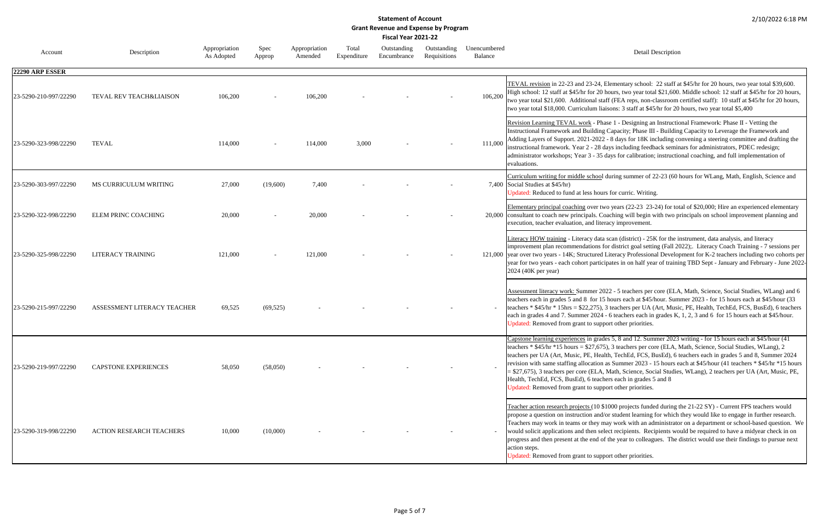Detail Description

, Elementary school: 22 staff at \$45/hr for 20 hours, two year total \$39,600. 0 hours, two year total \$21,600. Middle school: 12 staff at \$45/hr for 20 hours, taff (FEA reps, non-classroom certified staff): 10 staff at \$45/hr for 20 hours, iaisons: 3 staff at \$45/hr for 20 hours, two year total \$5,400

hase 1 - Designing an Instructional Framework: Phase II - Vetting the Ing Capacity; Phase III - Building Capacity to Leverage the Framework and 22 - 8 days for 18K including convening a steering committee and drafting the days including feedback seminars for administrators, PDEC redesign; 5 days for calibration; instructional coaching, and full implementation of

I during summer of 22-23 (60 hours for WLang, Math, English, Science and

urs for curric. Writing.

two years (22-23 23-24) for total of \$20,000; Hire an experienced elementary Coaching will begin with two principals on school improvement planning and teracy improvement.

ta scan (district) - 25K for the instrument, data analysis, and literacy for district goal setting (Fall 2022);. Literacy Coach Training - 7 sessions per d Literacy Professional Development for K-2 teachers including two cohorts per icipates in on half year of training TBD Sept - January and February - June 2022-

2022 - 5 teachers per core (ELA, Math, Science, Social Studies, WLang) and 6 15 hours each at \$45/hour. Summer 2023 - for 15 hours each at \$45/hour (33) ), 3 teachers per UA (Art, Music, PE, Health, TechEd, FCS, BusEd), 6 teachers 4 - 6 teachers each in grades K, 1, 2, 3 and 6 for 15 hours each at \$45/hour. port other priorities.

des 5, 8 and 12. Summer 2023 writing - for 15 hours each at \$45/hour (41) 75), 3 teachers per core (ELA, Math, Science, Social Studies, WLang), 2 teachers per UA. TechEd, FCS, BusEd), 6 teachers each in grades 5 and 8, Summer 2024 n as Summer 2023 - 15 hours each at \$45/hour (41 teachers \* \$45/hr \*15 hours A, Math, Science, Social Studies, WLang), 2 teachers per UA (Art, Music, PE, chers each in grades 5 and 8 pport other priorities.

\$1000 projects funded during the 21-22 SY) - Current FPS teachers would d/or student learning for which they would like to engage in further research. may work with an administrator on a department or school-based question. We elect recipients. Recipients would be required to have a midyear check in on of the year to colleagues. The district would use their findings to pursue next

pport other priorities.

| Account               | Description                        | Appropriation<br>As Adopted | Spec<br>Approp | Appropriation<br>Amended | Total<br>Expenditure | Outstanding<br>Encumbrance | Outstanding<br>Requisitions | Unencumbered<br><b>Balance</b> |                                                                                                                                                                                                                                                                                           |
|-----------------------|------------------------------------|-----------------------------|----------------|--------------------------|----------------------|----------------------------|-----------------------------|--------------------------------|-------------------------------------------------------------------------------------------------------------------------------------------------------------------------------------------------------------------------------------------------------------------------------------------|
| 22290 ARP ESSER       |                                    |                             |                |                          |                      |                            |                             |                                |                                                                                                                                                                                                                                                                                           |
| 23-5290-210-997/22290 | <b>TEVAL REV TEACH&amp;LIAISON</b> | 106,200                     |                | 106,200                  |                      |                            |                             | 106,200                        | TEVAL revision in 22-23 and 23-24<br>High school: 12 staff at \$45/hr for 20<br>two year total \$21,600. Additional s<br>two year total \$18,000. Curriculum l                                                                                                                            |
| 23-5290-323-998/22290 | <b>TEVAL</b>                       | 114,000                     |                | 114,000                  | 3,000                |                            |                             | 111,000                        | Revision Learning TEVAL work - P.<br>Instructional Framework and Buildir<br>Adding Layers of Support. 2021-202<br>instructional framework. Year 2 - 28<br>administrator workshops; Year 3 - 3:<br>evaluations.                                                                            |
| 23-5290-303-997/22290 | MS CURRICULUM WRITING              | 27,000                      | (19,600)       | 7,400                    |                      |                            |                             |                                | Curriculum writing for middle schoo<br>7,400 Social Studies at \$45/hr)<br>Updated: Reduced to fund at less ho                                                                                                                                                                            |
| 23-5290-322-998/22290 | <b>ELEM PRINC COACHING</b>         | 20,000                      |                | 20,000                   |                      |                            |                             |                                | Elementary principal coaching over t<br>20,000 consultant to coach new principals.<br>execution, teacher evaluation, and lit                                                                                                                                                              |
| 23-5290-325-998/22290 | LITERACY TRAINING                  | 121,000                     |                | 121,000                  |                      |                            |                             |                                | Literacy HOW training - Literacy da<br>improvement plan recommendations<br>121,000 year over two years - 14K; Structure<br>year for two years - each cohort parti<br>2024 (40K per year)                                                                                                  |
| 23-5290-215-997/22290 | ASSESSMENT LITERACY TEACHER        | 69,525                      | (69, 525)      |                          |                      |                            |                             |                                | Assessment literacy work: Summer 2<br>teachers each in grades 5 and 8 for 1<br>teachers * $$45/hr$ * 15hrs = \$22,275)<br>each in grades 4 and 7. Summer 202-<br>Updated: Removed from grant to sup                                                                                       |
| 23-5290-219-997/22290 | CAPSTONE EXPERIENCES               | 58,050                      | (58,050)       |                          |                      |                            |                             |                                | Capstone learning experiences in gra<br>teachers * $$45/hr$ * 15 hours = \$27,67<br>teachers per UA (Art, Music, PE, He<br>revision with same staffing allocation<br>$=$ \$27,675), 3 teachers per core (ELA<br>Health, TechEd, FCS, BusEd), 6 tead<br>Updated: Removed from grant to sup |
| 23-5290-319-998/22290 | ACTION RESEARCH TEACHERS           | 10,000                      | (10,000)       |                          |                      |                            |                             |                                | Teacher action research projects (10<br>propose a question on instruction and<br>Teachers may work in teams or they<br>would solicit applications and then s<br>progress and then present at the end<br>action steps.<br>Updated: Removed from grant to sup                               |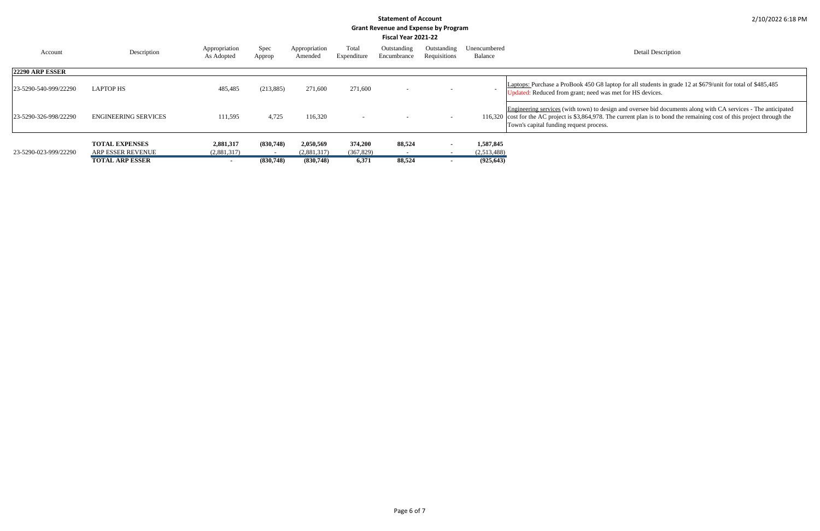Detail Description

laptop for all students in grade 12 at \$679/unit for total of \$485,485 vas met for HS devices.

| Account                | Description                                       | Appropriation<br>As Adopted | Spec<br>Approp | Appropriation<br>Amended | Total<br>Expenditure  | Outstanding<br>Encumbrance | Outstanding<br>Requisitions | Unencumbered<br>Balance  |                                                                                                                                         |
|------------------------|---------------------------------------------------|-----------------------------|----------------|--------------------------|-----------------------|----------------------------|-----------------------------|--------------------------|-----------------------------------------------------------------------------------------------------------------------------------------|
| <b>22290 ARP ESSER</b> |                                                   |                             |                |                          |                       |                            |                             |                          |                                                                                                                                         |
| 23-5290-540-999/22290  | <b>LAPTOP HS</b>                                  | 485,485                     | (213, 885)     | 271,600                  | 271,600               | $\overline{\phantom{0}}$   |                             | $\overline{\phantom{a}}$ | Laptops: Purchase a ProBook 450 G8 la<br>Updated: Reduced from grant; need wa                                                           |
| 23-5290-326-998/22290  | <b>ENGINEERING SERVICES</b>                       | 111,595                     | 4,725          | 116,320                  |                       |                            |                             |                          | Engineering services (with town) to des<br>116,320 cost for the AC project is \$3,864,978. T<br>Town's capital funding request process. |
| 23-5290-023-999/22290  | <b>TOTAL EXPENSES</b><br><b>ARP ESSER REVENUE</b> | 2,881,317<br>(2,881,317)    | (830,748)      | 2,050,569<br>(2,881,317) | 374,200<br>(367, 829) | 88,524                     |                             | 1,587,845<br>(2,513,488) |                                                                                                                                         |
|                        | <b>TOTAL ARP ESSER</b>                            | $\overline{\phantom{a}}$    | (830,748)      | (830,748)                | 6,371                 | 88,524                     |                             | (925, 643)               |                                                                                                                                         |

Engineering services (with town) to design and oversee bid documents along with CA services - The anticipated cost for the AC project is \$3,864,978. The current plan is to bond the remaining cost of this project through the